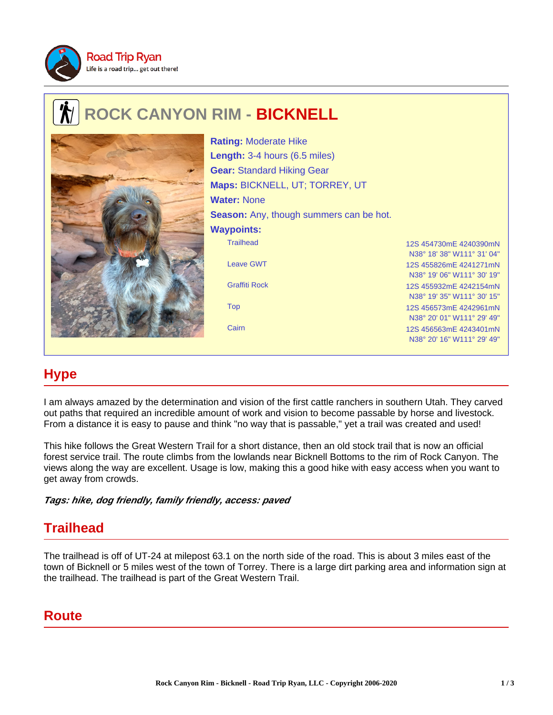

## **ROCK CANYON RIM - BICKNELL**



Trailhead 12S 454730mE 4240390mN N38° 18' 38" W111° 31' 04" Leave GWT 12S 455826mE 4241271mN N38° 19' 06" W111° 30' 19" Graffiti Rock 12S 455932mE 4242154mN N38° 19' 35" W111° 30' 15" Top 12S 456573mE 4242961mN N38° 20' 01" W111° 29' 49" Cairn 12S 456563mE 4243401mN **Rating:** Moderate Hike **Length:** 3-4 hours (6.5 miles) **Gear:** Standard Hiking Gear **Maps:** BICKNELL, UT; TORREY, UT **Water:** None **Season:** Any, though summers can be hot. **Waypoints:**

## **Hype**

I am always amazed by the determination and vision of the first cattle ranchers in southern Utah. They carved out paths that required an incredible amount of work and vision to become passable by horse and livestock. From a distance it is easy to pause and think "no way that is passable," yet a trail was created and used!

This hike follows the Great Western Trail for a short distance, then an old stock trail that is now an official forest service trail. The route climbs from the lowlands near Bicknell Bottoms to the rim of Rock Canyon. The views along the way are excellent. Usage is low, making this a good hike with easy access when you want to get away from crowds.

**Tags: hike, dog friendly, family friendly, access: paved**

## **Trailhead**

The trailhead is off of UT-24 at milepost 63.1 on the north side of the road. This is about 3 miles east of the town of Bicknell or 5 miles west of the town of Torrey. There is a large dirt parking area and information sign at the trailhead. The trailhead is part of the Great Western Trail.

## **Route**

N38° 20' 16" W111° 29' 49"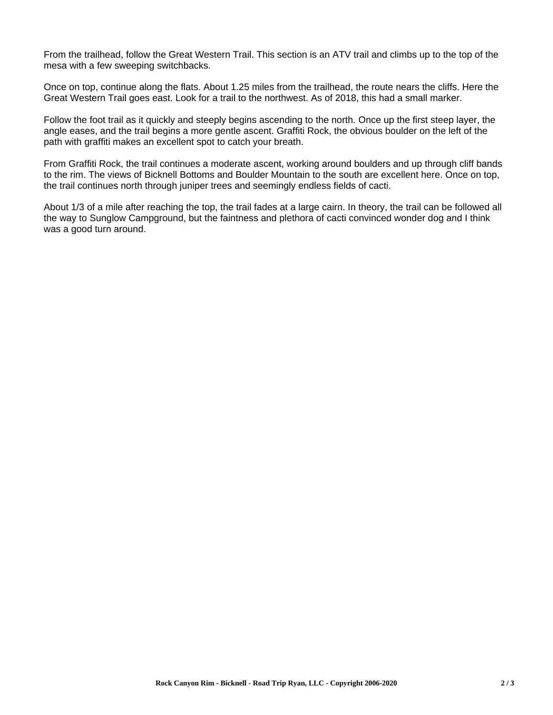From the trailhead, follow the Great Western Trail. This section is an ATV trail and climbs up to the top of the mesa with a few sweeping switchbacks.

Once on top, continue along the flats. About 1.25 miles from the trailhead, the route nears the cliffs. Here the Great Western Trail goes east. Look for a trail to the northwest. As of 2018, this had a small marker.

Follow the foot trail as it quickly and steeply begins ascending to the north. Once up the first steep layer, the angle eases, and the trail begins a more gentle ascent. Graffiti Rock, the obvious boulder on the left of the path with graffiti makes an excellent spot to catch your breath.

From Graffiti Rock, the trail continues a moderate ascent, working around boulders and up through cliff bands to the rim. The views of Bicknell Bottoms and Boulder Mountain to the south are excellent here. Once on top, the trail continues north through juniper trees and seemingly endless fields of cacti.

About 1/3 of a mile after reaching the top, the trail fades at a large cairn. In theory, the trail can be followed all the way to Sunglow Campground, but the faintness and plethora of cacti convinced wonder dog and I think was a good turn around.